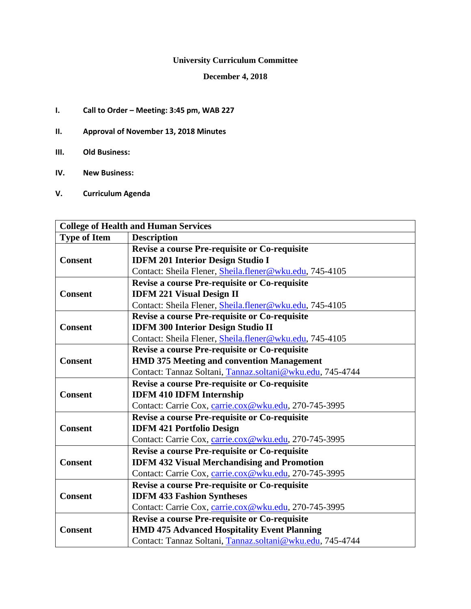# **University Curriculum Committee**

## **December 4, 2018**

- **I. Call to Order – Meeting: 3:45 pm, WAB 227**
- **II. Approval of November 13, 2018 Minutes**
- **III. Old Business:**
- **IV. New Business:**
- **V. Curriculum Agenda**

| <b>College of Health and Human Services</b>               |                                                           |  |
|-----------------------------------------------------------|-----------------------------------------------------------|--|
| <b>Type of Item</b>                                       | <b>Description</b>                                        |  |
|                                                           | Revise a course Pre-requisite or Co-requisite             |  |
| <b>Consent</b>                                            | <b>IDFM 201 Interior Design Studio I</b>                  |  |
|                                                           | Contact: Sheila Flener, Sheila.flener@wku.edu, 745-4105   |  |
|                                                           | Revise a course Pre-requisite or Co-requisite             |  |
| <b>Consent</b>                                            | <b>IDFM 221 Visual Design II</b>                          |  |
|                                                           | Contact: Sheila Flener, Sheila.flener@wku.edu, 745-4105   |  |
|                                                           | Revise a course Pre-requisite or Co-requisite             |  |
| <b>Consent</b>                                            | <b>IDFM 300 Interior Design Studio II</b>                 |  |
|                                                           | Contact: Sheila Flener, Sheila.flener@wku.edu, 745-4105   |  |
|                                                           | Revise a course Pre-requisite or Co-requisite             |  |
| <b>Consent</b>                                            | <b>HMD 375 Meeting and convention Management</b>          |  |
| Contact: Tannaz Soltani, Tannaz.soltani@wku.edu, 745-4744 |                                                           |  |
|                                                           | Revise a course Pre-requisite or Co-requisite             |  |
| <b>Consent</b>                                            | <b>IDFM 410 IDFM Internship</b>                           |  |
| Contact: Carrie Cox, carrie.cox@wku.edu, 270-745-3995     |                                                           |  |
|                                                           | <b>Revise a course Pre-requisite or Co-requisite</b>      |  |
| <b>Consent</b>                                            | <b>IDFM 421 Portfolio Design</b>                          |  |
| Contact: Carrie Cox, carrie.cox@wku.edu, 270-745-3995     |                                                           |  |
|                                                           | Revise a course Pre-requisite or Co-requisite             |  |
| <b>Consent</b>                                            | <b>IDFM 432 Visual Merchandising and Promotion</b>        |  |
| Contact: Carrie Cox, carrie.cox@wku.edu, 270-745-3995     |                                                           |  |
|                                                           | <b>Revise a course Pre-requisite or Co-requisite</b>      |  |
| <b>Consent</b>                                            | <b>IDFM 433 Fashion Syntheses</b>                         |  |
|                                                           | Contact: Carrie Cox, carrie.cox@wku.edu, 270-745-3995     |  |
|                                                           | Revise a course Pre-requisite or Co-requisite             |  |
| <b>Consent</b>                                            | <b>HMD 475 Advanced Hospitality Event Planning</b>        |  |
|                                                           | Contact: Tannaz Soltani, Tannaz.soltani@wku.edu, 745-4744 |  |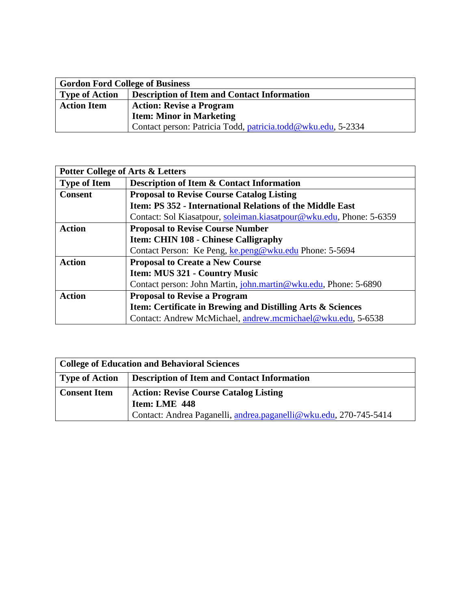| <b>Gordon Ford College of Business</b> |                                                              |  |
|----------------------------------------|--------------------------------------------------------------|--|
| <b>Type of Action</b>                  | <b>Description of Item and Contact Information</b>           |  |
| <b>Action Item</b>                     | <b>Action: Revise a Program</b>                              |  |
|                                        | <b>Item: Minor in Marketing</b>                              |  |
|                                        | Contact person: Patricia Todd, patricia.todd@wku.edu, 5-2334 |  |

| <b>Potter College of Arts &amp; Letters</b> |                                                                     |  |
|---------------------------------------------|---------------------------------------------------------------------|--|
| <b>Type of Item</b>                         | <b>Description of Item &amp; Contact Information</b>                |  |
| <b>Consent</b>                              | <b>Proposal to Revise Course Catalog Listing</b>                    |  |
|                                             | Item: PS 352 - International Relations of the Middle East           |  |
|                                             | Contact: Sol Kiasatpour, soleiman.kiasatpour@wku.edu, Phone: 5-6359 |  |
| <b>Action</b>                               | <b>Proposal to Revise Course Number</b>                             |  |
|                                             | <b>Item: CHIN 108 - Chinese Calligraphy</b>                         |  |
|                                             | Contact Person: Ke Peng, ke.peng@wku.edu Phone: 5-5694              |  |
| <b>Action</b>                               | <b>Proposal to Create a New Course</b>                              |  |
|                                             | <b>Item: MUS 321 - Country Music</b>                                |  |
|                                             | Contact person: John Martin, john.martin@wku.edu, Phone: 5-6890     |  |
| <b>Action</b>                               | <b>Proposal to Revise a Program</b>                                 |  |
|                                             | Item: Certificate in Brewing and Distilling Arts & Sciences         |  |
|                                             | Contact: Andrew McMichael, andrew.mcmichael@wku.edu, 5-6538         |  |

| <b>College of Education and Behavioral Sciences</b> |                                                                   |  |
|-----------------------------------------------------|-------------------------------------------------------------------|--|
| <b>Type of Action</b>                               | <b>Description of Item and Contact Information</b>                |  |
| <b>Consent Item</b>                                 | <b>Action: Revise Course Catalog Listing</b>                      |  |
|                                                     | Item: LME 448                                                     |  |
|                                                     | Contact: Andrea Paganelli, andrea.paganelli@wku.edu, 270-745-5414 |  |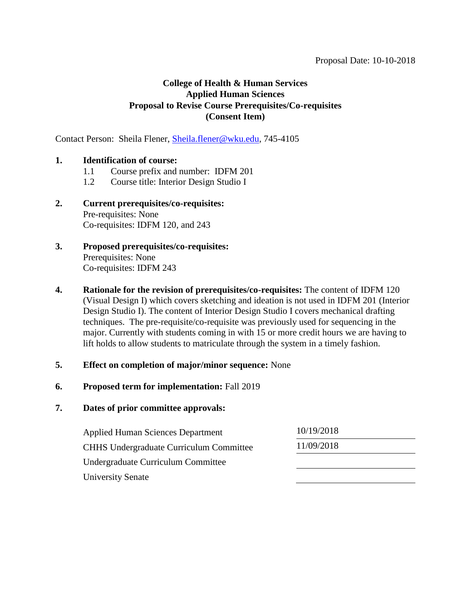Contact Person: Sheila Flener, [Sheila.flener@wku.edu,](mailto:Sheila.flener@wku.edu) 745-4105

## **1. Identification of course:**

- 1.1 Course prefix and number: IDFM 201
- 1.2 Course title: Interior Design Studio I
- **2. Current prerequisites/co-requisites:**  Pre-requisites: None Co-requisites: IDFM 120, and 243
- **3. Proposed prerequisites/co-requisites:** Prerequisites: None Co-requisites: IDFM 243
- **4. Rationale for the revision of prerequisites/co-requisites:** The content of IDFM 120 (Visual Design I) which covers sketching and ideation is not used in IDFM 201 (Interior Design Studio I). The content of Interior Design Studio I covers mechanical drafting techniques. The pre-requisite/co-requisite was previously used for sequencing in the major. Currently with students coming in with 15 or more credit hours we are having to lift holds to allow students to matriculate through the system in a timely fashion.

# **5. Effect on completion of major/minor sequence:** None

#### **6. Proposed term for implementation:** Fall 2019

| <b>Applied Human Sciences Department</b>       | 10/19/2018 |  |
|------------------------------------------------|------------|--|
| <b>CHHS Undergraduate Curriculum Committee</b> | 11/09/2018 |  |
| Undergraduate Curriculum Committee             |            |  |
| <b>University Senate</b>                       |            |  |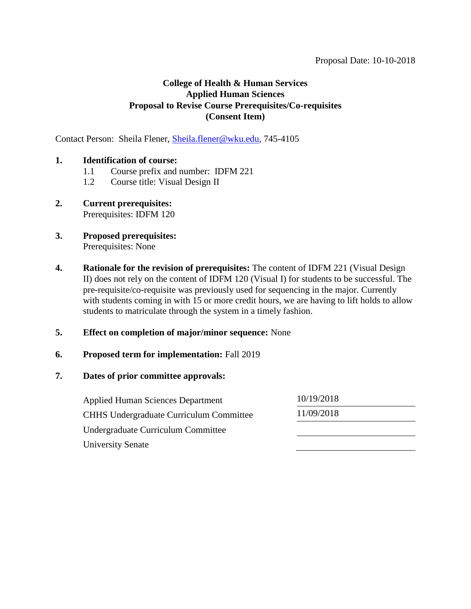Contact Person: Sheila Flener, [Sheila.flener@wku.edu,](mailto:Sheila.flener@wku.edu) 745-4105

## **1. Identification of course:**

- 1.1 Course prefix and number: IDFM 221
- 1.2 Course title: Visual Design II
- **2. Current prerequisites:**  Prerequisites: IDFM 120
- **3. Proposed prerequisites:** Prerequisites: None
- **4. Rationale for the revision of prerequisites:** The content of IDFM 221 (Visual Design II) does not rely on the content of IDFM 120 (Visual I) for students to be successful. The pre-requisite/co-requisite was previously used for sequencing in the major. Currently with students coming in with 15 or more credit hours, we are having to lift holds to allow students to matriculate through the system in a timely fashion.
- **5. Effect on completion of major/minor sequence:** None
- **6. Proposed term for implementation:** Fall 2019

| <b>Applied Human Sciences Department</b>       | 10/19/2018 |
|------------------------------------------------|------------|
| <b>CHHS Undergraduate Curriculum Committee</b> | 11/09/2018 |
| Undergraduate Curriculum Committee             |            |
| <b>University Senate</b>                       |            |
|                                                |            |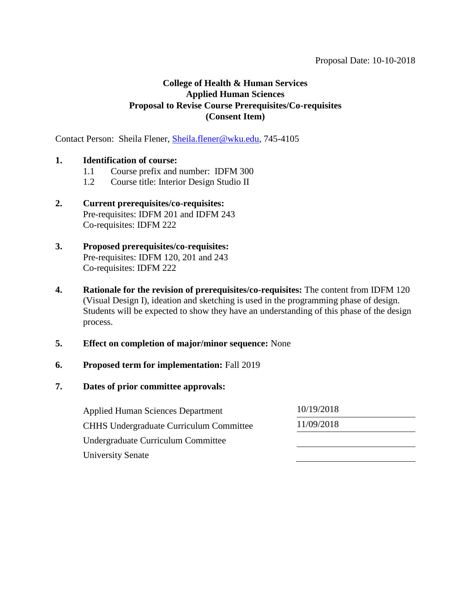Contact Person: Sheila Flener, [Sheila.flener@wku.edu,](mailto:Sheila.flener@wku.edu) 745-4105

## **1. Identification of course:**

- 1.1 Course prefix and number: IDFM 300
- 1.2 Course title: Interior Design Studio II

# **2. Current prerequisites/co-requisites:**  Pre-requisites: IDFM 201 and IDFM 243 Co-requisites: IDFM 222

- **3. Proposed prerequisites/co-requisites:** Pre-requisites: IDFM 120, 201 and 243 Co-requisites: IDFM 222
- **4. Rationale for the revision of prerequisites/co-requisites:** The content from IDFM 120 (Visual Design I), ideation and sketching is used in the programming phase of design. Students will be expected to show they have an understanding of this phase of the design process.

#### **5. Effect on completion of major/minor sequence:** None

#### **6. Proposed term for implementation:** Fall 2019

| <b>Applied Human Sciences Department</b>       | 10/19/2018 |
|------------------------------------------------|------------|
| <b>CHHS</b> Undergraduate Curriculum Committee | 11/09/2018 |
| Undergraduate Curriculum Committee             |            |
| <b>University Senate</b>                       |            |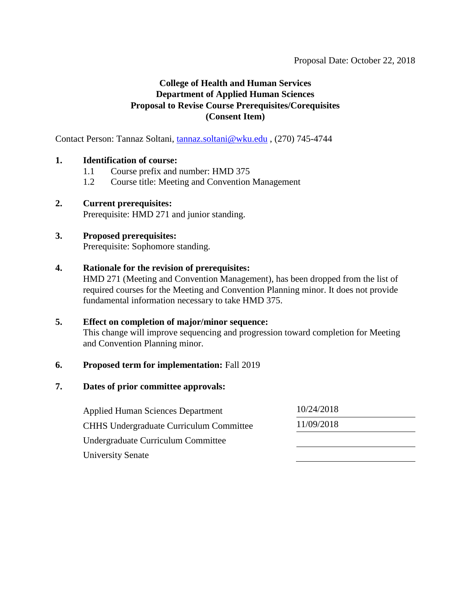Contact Person: Tannaz Soltani, [tannaz.soltani@wku.edu](mailto:tannaz.soltani@wku.edu) , (270) 745-4744

## **1. Identification of course:**

- 1.1 Course prefix and number: HMD 375
- 1.2 Course title: Meeting and Convention Management

#### **2. Current prerequisites:** Prerequisite: HMD 271 and junior standing.

# **3. Proposed prerequisites:**

Prerequisite: Sophomore standing.

#### **4. Rationale for the revision of prerequisites:**

HMD 271 (Meeting and Convention Management), has been dropped from the list of required courses for the Meeting and Convention Planning minor. It does not provide fundamental information necessary to take HMD 375.

#### **5. Effect on completion of major/minor sequence:**

This change will improve sequencing and progression toward completion for Meeting and Convention Planning minor.

#### **6. Proposed term for implementation:** Fall 2019

#### **7. Dates of prior committee approvals:**

Applied Human Sciences Department 10/24/2018 CHHS Undergraduate Curriculum Committee 11/09/2018 Undergraduate Curriculum Committee University Senate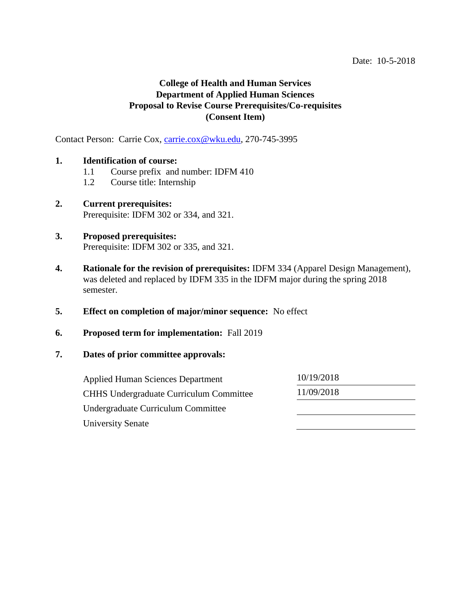Contact Person: Carrie Cox, [carrie.cox@wku.edu,](mailto:carrie.cox@wku.edu) 270-745-3995

#### **1. Identification of course:**

- 1.1 Course prefix and number: IDFM 410
- 1.2 Course title: Internship
- **2. Current prerequisites:**  Prerequisite: IDFM 302 or 334, and 321.
- **3. Proposed prerequisites:**  Prerequisite: IDFM 302 or 335, and 321.
- **4. Rationale for the revision of prerequisites:** IDFM 334 (Apparel Design Management), was deleted and replaced by IDFM 335 in the IDFM major during the spring 2018 semester.
- **5. Effect on completion of major/minor sequence:** No effect
- **6. Proposed term for implementation:** Fall 2019
- **7. Dates of prior committee approvals:**

| <b>Applied Human Sciences Department</b>       | 10/19/2018 |
|------------------------------------------------|------------|
| <b>CHHS Undergraduate Curriculum Committee</b> | 11/09/2018 |
| Undergraduate Curriculum Committee             |            |
| University Senate                              |            |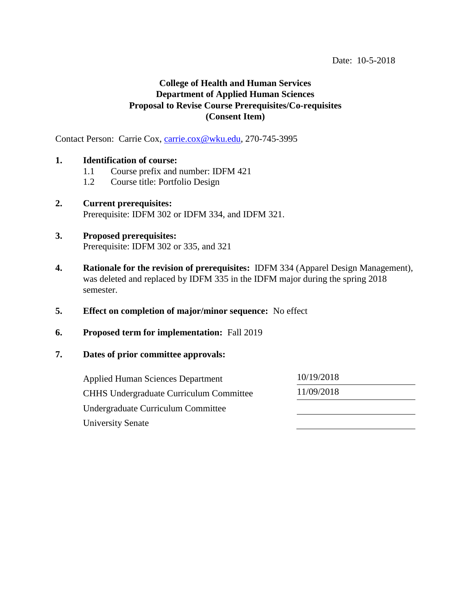Contact Person: Carrie Cox, [carrie.cox@wku.edu,](mailto:carrie.cox@wku.edu) 270-745-3995

#### **1. Identification of course:**

- 1.1 Course prefix and number: IDFM 421
- 1.2 Course title: Portfolio Design
- **2. Current prerequisites:**  Prerequisite: IDFM 302 or IDFM 334, and IDFM 321.

## **3. Proposed prerequisites:**  Prerequisite: IDFM 302 or 335, and 321

- **4. Rationale for the revision of prerequisites:** IDFM 334 (Apparel Design Management), was deleted and replaced by IDFM 335 in the IDFM major during the spring 2018 semester.
- **5. Effect on completion of major/minor sequence:** No effect
- **6. Proposed term for implementation:** Fall 2019
- **7. Dates of prior committee approvals:**

| <b>Applied Human Sciences Department</b>       | 10/19/2018 |  |
|------------------------------------------------|------------|--|
| <b>CHHS Undergraduate Curriculum Committee</b> | 11/09/2018 |  |
| Undergraduate Curriculum Committee             |            |  |
| <b>University Senate</b>                       |            |  |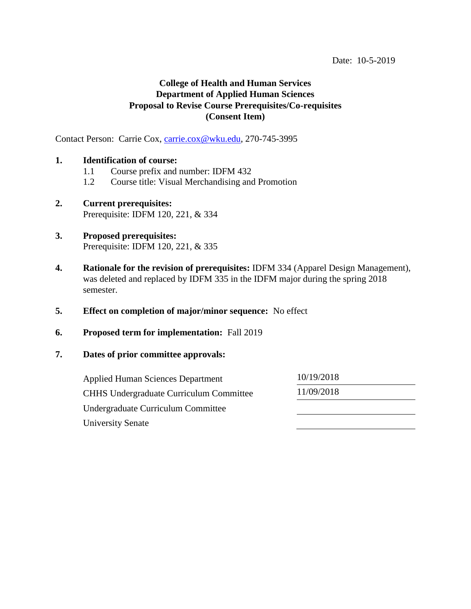Contact Person: Carrie Cox, [carrie.cox@wku.edu,](mailto:carrie.cox@wku.edu) 270-745-3995

#### **1. Identification of course:**

- 1.1 Course prefix and number: IDFM 432
- 1.2 Course title: Visual Merchandising and Promotion
- **2. Current prerequisites:**  Prerequisite: IDFM 120, 221, & 334

## **3. Proposed prerequisites:**  Prerequisite: IDFM 120, 221, & 335

- **4. Rationale for the revision of prerequisites:** IDFM 334 (Apparel Design Management), was deleted and replaced by IDFM 335 in the IDFM major during the spring 2018 semester.
- **5. Effect on completion of major/minor sequence:** No effect
- **6. Proposed term for implementation:** Fall 2019
- **7. Dates of prior committee approvals:**

| <b>Applied Human Sciences Department</b>       | 10/19/2018 |  |
|------------------------------------------------|------------|--|
| <b>CHHS Undergraduate Curriculum Committee</b> | 11/09/2018 |  |
| Undergraduate Curriculum Committee             |            |  |
| <b>University Senate</b>                       |            |  |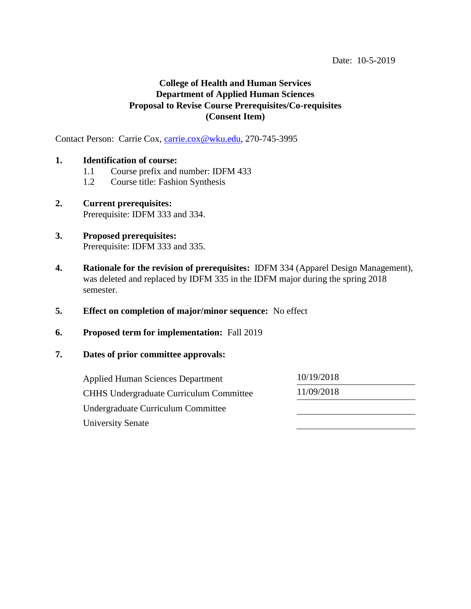Contact Person: Carrie Cox, [carrie.cox@wku.edu,](mailto:carrie.cox@wku.edu) 270-745-3995

#### **1. Identification of course:**

- 1.1 Course prefix and number: IDFM 433
- 1.2 Course title: Fashion Synthesis
- **2. Current prerequisites:**  Prerequisite: IDFM 333 and 334.
- **3. Proposed prerequisites:**  Prerequisite: IDFM 333 and 335.
- **4. Rationale for the revision of prerequisites:** IDFM 334 (Apparel Design Management), was deleted and replaced by IDFM 335 in the IDFM major during the spring 2018 semester.
- **5. Effect on completion of major/minor sequence:** No effect
- **6. Proposed term for implementation:** Fall 2019
- **7. Dates of prior committee approvals:**

| <b>Applied Human Sciences Department</b>       | 10/19/2018 |  |
|------------------------------------------------|------------|--|
| <b>CHHS Undergraduate Curriculum Committee</b> | 11/09/2018 |  |
| Undergraduate Curriculum Committee             |            |  |
| <b>University Senate</b>                       |            |  |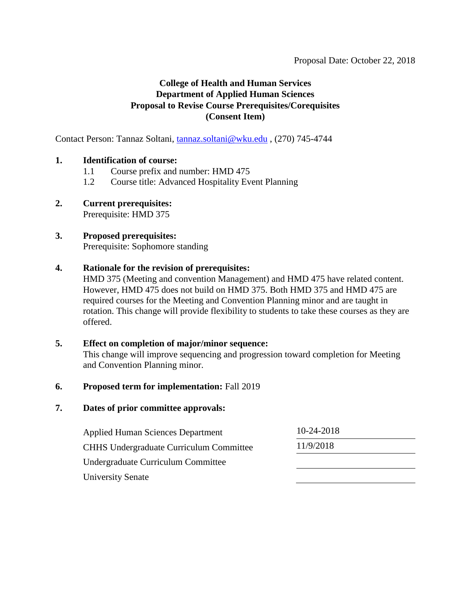Contact Person: Tannaz Soltani, [tannaz.soltani@wku.edu](mailto:tannaz.soltani@wku.edu) , (270) 745-4744

## **1. Identification of course:**

- 1.1 Course prefix and number: HMD 475
- 1.2 Course title: Advanced Hospitality Event Planning
- **2. Current prerequisites:** Prerequisite: HMD 375

# **3. Proposed prerequisites:**

Prerequisite: Sophomore standing

## **4. Rationale for the revision of prerequisites:**

HMD 375 (Meeting and convention Management) and HMD 475 have related content. However, HMD 475 does not build on HMD 375. Both HMD 375 and HMD 475 are required courses for the Meeting and Convention Planning minor and are taught in rotation. This change will provide flexibility to students to take these courses as they are offered.

## **5. Effect on completion of major/minor sequence:**

This change will improve sequencing and progression toward completion for Meeting and Convention Planning minor.

#### **6. Proposed term for implementation:** Fall 2019

| <b>Applied Human Sciences Department</b>       | 10-24-2018 |  |
|------------------------------------------------|------------|--|
| <b>CHHS Undergraduate Curriculum Committee</b> | 11/9/2018  |  |
| Undergraduate Curriculum Committee             |            |  |
| <b>University Senate</b>                       |            |  |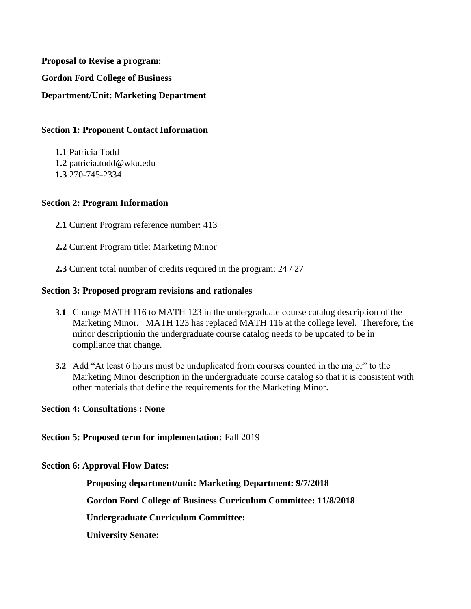**Proposal to Revise a program: Gordon Ford College of Business Department/Unit: Marketing Department**

## **Section 1: Proponent Contact Information**

**1.1** Patricia Todd **1.2** patricia.todd@wku.edu **1.3** 270-745-2334

## **Section 2: Program Information**

**2.1** Current Program reference number: 413

**2.2** Current Program title: Marketing Minor

**2.3** Current total number of credits required in the program: 24 / 27

#### **Section 3: Proposed program revisions and rationales**

- **3.1** Change MATH 116 to MATH 123 in the undergraduate course catalog description of the Marketing Minor. MATH 123 has replaced MATH 116 at the college level. Therefore, the minor descriptionin the undergraduate course catalog needs to be updated to be in compliance that change.
- **3.2** Add "At least 6 hours must be unduplicated from courses counted in the major" to the Marketing Minor description in the undergraduate course catalog so that it is consistent with other materials that define the requirements for the Marketing Minor.

#### **Section 4: Consultations : None**

**Section 5: Proposed term for implementation:** Fall 2019

**Section 6: Approval Flow Dates:** 

**Proposing department/unit: Marketing Department: 9/7/2018**

**Gordon Ford College of Business Curriculum Committee: 11/8/2018**

**Undergraduate Curriculum Committee:**

**University Senate:**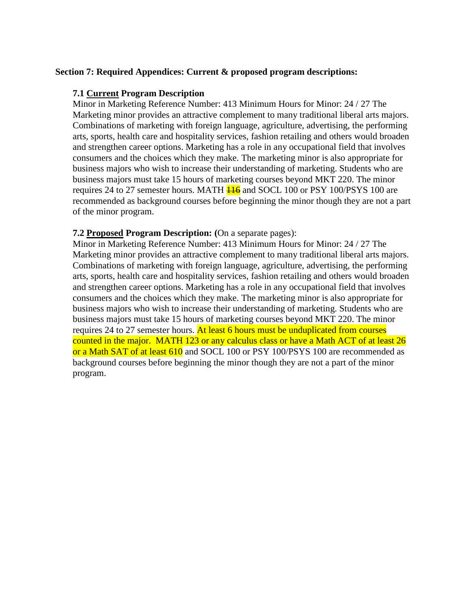#### **Section 7: Required Appendices: Current & proposed program descriptions:**

#### **7.1 Current Program Description**

Minor in Marketing Reference Number: 413 Minimum Hours for Minor: 24 / 27 The Marketing minor provides an attractive complement to many traditional liberal arts majors. Combinations of marketing with foreign language, agriculture, advertising, the performing arts, sports, health care and hospitality services, fashion retailing and others would broaden and strengthen career options. Marketing has a role in any occupational field that involves consumers and the choices which they make. The marketing minor is also appropriate for business majors who wish to increase their understanding of marketing. Students who are business majors must take 15 hours of marketing courses beyond MKT 220. The minor requires 24 to 27 semester hours. MATH  $\frac{116}{116}$  and SOCL 100 or PSY 100/PSYS 100 are recommended as background courses before beginning the minor though they are not a part of the minor program.

#### **7.2 Proposed Program Description: (**On a separate pages):

Minor in Marketing Reference Number: 413 Minimum Hours for Minor: 24 / 27 The Marketing minor provides an attractive complement to many traditional liberal arts majors. Combinations of marketing with foreign language, agriculture, advertising, the performing arts, sports, health care and hospitality services, fashion retailing and others would broaden and strengthen career options. Marketing has a role in any occupational field that involves consumers and the choices which they make. The marketing minor is also appropriate for business majors who wish to increase their understanding of marketing. Students who are business majors must take 15 hours of marketing courses beyond MKT 220. The minor requires 24 to 27 semester hours. At least 6 hours must be unduplicated from courses counted in the major. MATH 123 or any calculus class or have a Math ACT of at least 26 or a Math SAT of at least 610 and SOCL 100 or PSY 100/PSYS 100 are recommended as background courses before beginning the minor though they are not a part of the minor program.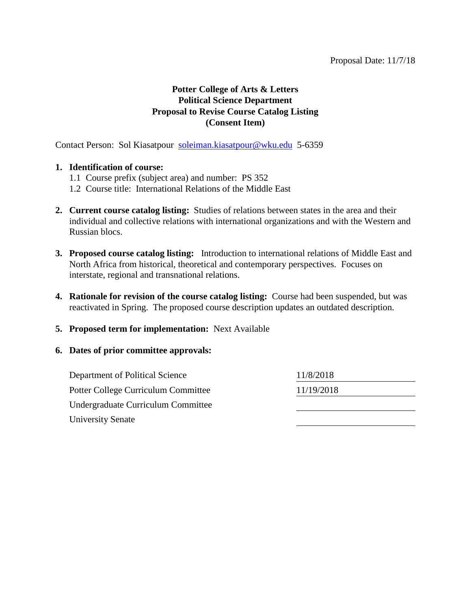# **Potter College of Arts & Letters Political Science Department Proposal to Revise Course Catalog Listing (Consent Item)**

Contact Person: Sol Kiasatpour [soleiman.kiasatpour@wku.edu](mailto:soleiman.kiasatpour@wku.edu) 5-6359

#### **1. Identification of course:**

- 1.1 Course prefix (subject area) and number: PS 352
- 1.2 Course title: International Relations of the Middle East
- **2. Current course catalog listing:** Studies of relations between states in the area and their individual and collective relations with international organizations and with the Western and Russian blocs.
- **3. Proposed course catalog listing:** Introduction to international relations of Middle East and North Africa from historical, theoretical and contemporary perspectives. Focuses on interstate, regional and transnational relations.
- **4. Rationale for revision of the course catalog listing:** Course had been suspended, but was reactivated in Spring. The proposed course description updates an outdated description.
- **5. Proposed term for implementation:** Next Available

| Department of Political Science     | 11/8/2018  |  |
|-------------------------------------|------------|--|
| Potter College Curriculum Committee | 11/19/2018 |  |
| Undergraduate Curriculum Committee  |            |  |
| <b>University Senate</b>            |            |  |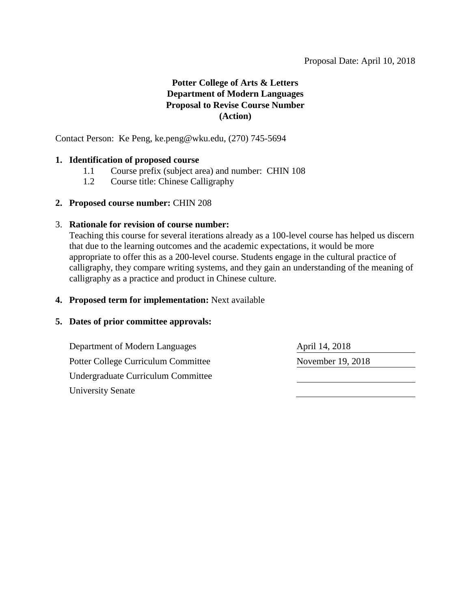# **Potter College of Arts & Letters Department of Modern Languages Proposal to Revise Course Number (Action)**

Contact Person: Ke Peng, [ke.peng@wku.edu,](mailto:ke.peng@wku.edu) (270) 745-5694

## **1. Identification of proposed course**

- 1.1 Course prefix (subject area) and number: CHIN 108
- 1.2 Course title: Chinese Calligraphy
- **2. Proposed course number:** CHIN 208

## 3. **Rationale for revision of course number:**

Teaching this course for several iterations already as a 100-level course has helped us discern that due to the learning outcomes and the academic expectations, it would be more appropriate to offer this as a 200-level course. Students engage in the cultural practice of calligraphy, they compare writing systems, and they gain an understanding of the meaning of calligraphy as a practice and product in Chinese culture.

# **4. Proposed term for implementation:** Next available

# **5. Dates of prior committee approvals:**

Department of Modern Languages April 14, 2018 Potter College Curriculum Committee November 19, 2018 Undergraduate Curriculum Committee University Senate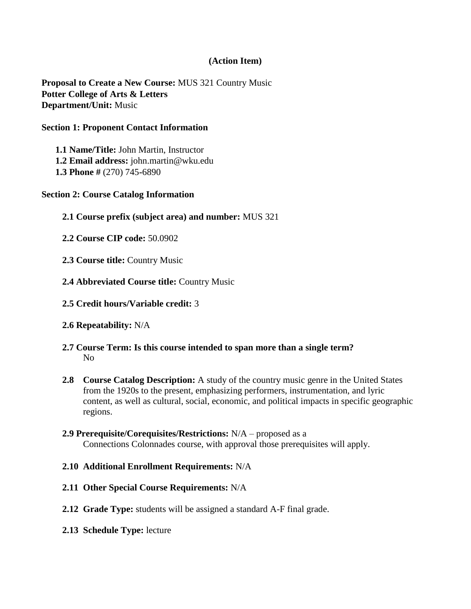## **(Action Item)**

**Proposal to Create a New Course:** MUS 321 Country Music **Potter College of Arts & Letters Department/Unit:** Music

#### **Section 1: Proponent Contact Information**

**1.1 Name/Title:** John Martin, Instructor **1.2 Email address:** john.martin@wku.edu **1.3 Phone #** (270) 745**-**6890

#### **Section 2: Course Catalog Information**

- **2.1 Course prefix (subject area) and number:** MUS 321
- **2.2 Course CIP code:** 50.0902
- **2.3 Course title:** Country Music
- **2.4 Abbreviated Course title:** Country Music
- **2.5 Credit hours/Variable credit:** 3
- **2.6 Repeatability:** N/A
- **2.7 Course Term: Is this course intended to span more than a single term?**  No
- **2.8 Course Catalog Description:** A study of the country music genre in the United States from the 1920s to the present, emphasizing performers, instrumentation, and lyric content, as well as cultural, social, economic, and political impacts in specific geographic regions.
- **2.9 Prerequisite/Corequisites/Restrictions:** N/A proposed as a Connections Colonnades course, with approval those prerequisites will apply.
- **2.10 Additional Enrollment Requirements:** N/A
- **2.11 Other Special Course Requirements:** N/A
- **2.12 Grade Type:** students will be assigned a standard A-F final grade.
- **2.13 Schedule Type:** lecture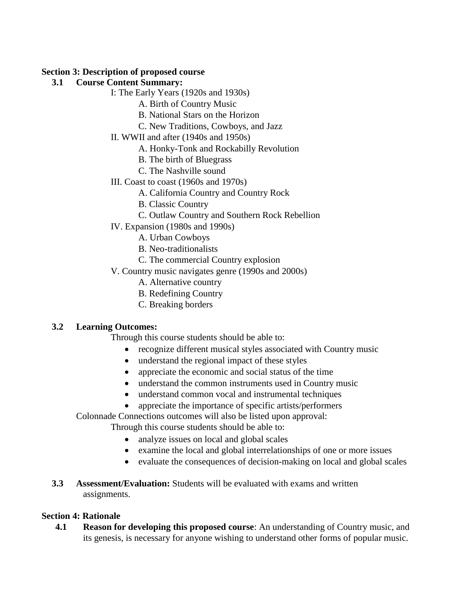## **Section 3: Description of proposed course**

# **3.1 Course Content Summary:**

- I: The Early Years (1920s and 1930s)
	- A. Birth of Country Music
	- B. National Stars on the Horizon
	- C. New Traditions, Cowboys, and Jazz
- II. WWII and after (1940s and 1950s)
	- A. Honky-Tonk and Rockabilly Revolution
	- B. The birth of Bluegrass
	- C. The Nashville sound
- III. Coast to coast (1960s and 1970s)
	- A. California Country and Country Rock
	- B. Classic Country
	- C. Outlaw Country and Southern Rock Rebellion
- IV. Expansion (1980s and 1990s)
	- A. Urban Cowboys
	- B. Neo-traditionalists
	- C. The commercial Country explosion
- V. Country music navigates genre (1990s and 2000s)
	- A. Alternative country
	- B. Redefining Country
	- C. Breaking borders

# **3.2 Learning Outcomes:**

Through this course students should be able to:

- recognize different musical styles associated with Country music
- understand the regional impact of these styles
- appreciate the economic and social status of the time
- understand the common instruments used in Country music
- understand common vocal and instrumental techniques
- appreciate the importance of specific artists/performers

Colonnade Connections outcomes will also be listed upon approval:

Through this course students should be able to:

- analyze issues on local and global scales
- examine the local and global interrelationships of one or more issues
- evaluate the consequences of decision-making on local and global scales
- **3.3 Assessment/Evaluation:** Students will be evaluated with exams and written assignments.

# **Section 4: Rationale**

**4.1 Reason for developing this proposed course**: An understanding of Country music, and its genesis, is necessary for anyone wishing to understand other forms of popular music.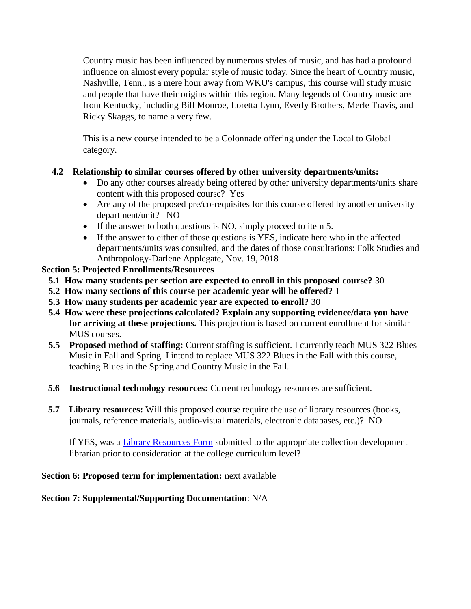Country music has been influenced by numerous styles of music, and has had a profound influence on almost every popular style of music today. Since the heart of Country music, Nashville, Tenn., is a mere hour away from WKU's campus, this course will study music and people that have their origins within this region. Many legends of Country music are from Kentucky, including Bill Monroe, Loretta Lynn, Everly Brothers, Merle Travis, and Ricky Skaggs, to name a very few.

This is a new course intended to be a Colonnade offering under the Local to Global category.

# **4.2 Relationship to similar courses offered by other university departments/units:**

- Do any other courses already being offered by other university departments/units share content with this proposed course? Yes
- Are any of the proposed pre/co-requisites for this course offered by another university department/unit? NO
- If the answer to both questions is NO, simply proceed to item 5.
- If the answer to either of those questions is YES, indicate here who in the affected departments/units was consulted, and the dates of those consultations: Folk Studies and Anthropology-Darlene Applegate, Nov. 19, 2018

# **Section 5: Projected Enrollments/Resources**

- **5.1 How many students per section are expected to enroll in this proposed course?** 30
- **5.2 How many sections of this course per academic year will be offered?** 1
- **5.3 How many students per academic year are expected to enroll?** 30
- **5.4 How were these projections calculated? Explain any supporting evidence/data you have for arriving at these projections.** This projection is based on current enrollment for similar MUS courses.
- **5.5 Proposed method of staffing:** Current staffing is sufficient. I currently teach MUS 322 Blues Music in Fall and Spring. I intend to replace MUS 322 Blues in the Fall with this course, teaching Blues in the Spring and Country Music in the Fall.
- **5.6 Instructional technology resources:** Current technology resources are sufficient.
- **5.7 Library resources:** Will this proposed course require the use of library resources (books, journals, reference materials, audio-visual materials, electronic databases, etc.)? NO

If YES, was a [Library Resources Form](https://www.wku.edu/library/forms.php) submitted to the appropriate collection development librarian prior to consideration at the college curriculum level?

# **Section 6: Proposed term for implementation:** next available

# **Section 7: Supplemental/Supporting Documentation**: N/A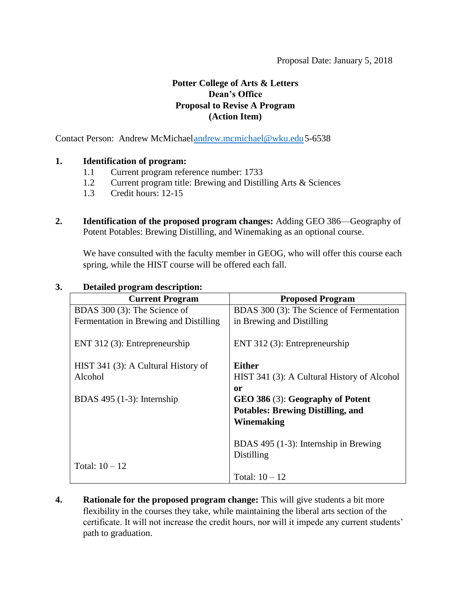# **Potter College of Arts & Letters Dean's Office Proposal to Revise A Program (Action Item)**

Contact Person: Andrew McMichae[landrew.mcmichael@wku.edu5](mailto:andrew.mcmichael@wku.edu)-6538

## **1. Identification of program:**

- 1.1 Current program reference number: 1733
- 1.2 Current program title: Brewing and Distilling Arts & Sciences
- 1.3 Credit hours: 12-15
- **2. Identification of the proposed program changes:** Adding GEO 386—Geography of Potent Potables: Brewing Distilling, and Winemaking as an optional course.

We have consulted with the faculty member in GEOG, who will offer this course each spring, while the HIST course will be offered each fall.

| <b>Current Program</b>                 | <b>Proposed Program</b>                     |
|----------------------------------------|---------------------------------------------|
| BDAS 300 (3): The Science of           | BDAS 300 (3): The Science of Fermentation   |
| Fermentation in Brewing and Distilling | in Brewing and Distilling                   |
| ENT 312 $(3)$ : Entrepreneurship       | ENT 312 $(3)$ : Entrepreneurship            |
| HIST 341 (3): A Cultural History of    | Either                                      |
| Alcohol                                | HIST 341 (3): A Cultural History of Alcohol |
|                                        | <sub>or</sub>                               |
| BDAS $495$ (1-3): Internship           | GEO 386 (3): Geography of Potent            |
|                                        | <b>Potables: Brewing Distilling, and</b>    |
|                                        | Winemaking                                  |
|                                        | BDAS $495$ (1-3): Internship in Brewing     |
|                                        | Distilling                                  |
| Total: $10 - 12$                       |                                             |
|                                        | Total: $10 - 12$                            |

## **3. Detailed program description:**

**4. Rationale for the proposed program change:** This will give students a bit more flexibility in the courses they take, while maintaining the liberal arts section of the certificate. It will not increase the credit hours, nor will it impede any current students' path to graduation.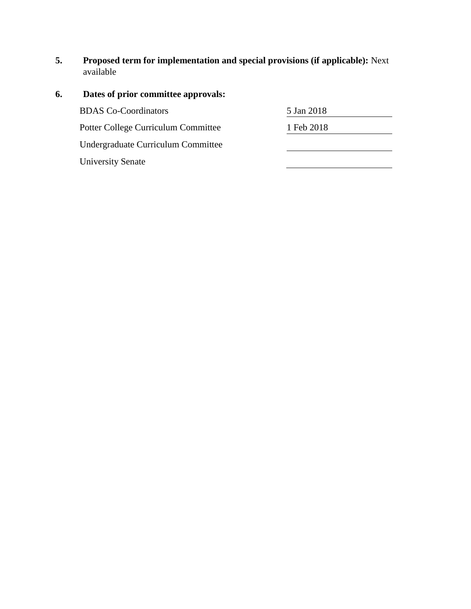**5. Proposed term for implementation and special provisions (if applicable):** Next available

| 6. | Dates of prior committee approvals: |            |
|----|-------------------------------------|------------|
|    | <b>BDAS</b> Co-Coordinators         | 5 Jan 2018 |
|    | Potter College Curriculum Committee | 1 Feb 2018 |
|    | Undergraduate Curriculum Committee  |            |
|    | <b>University Senate</b>            |            |